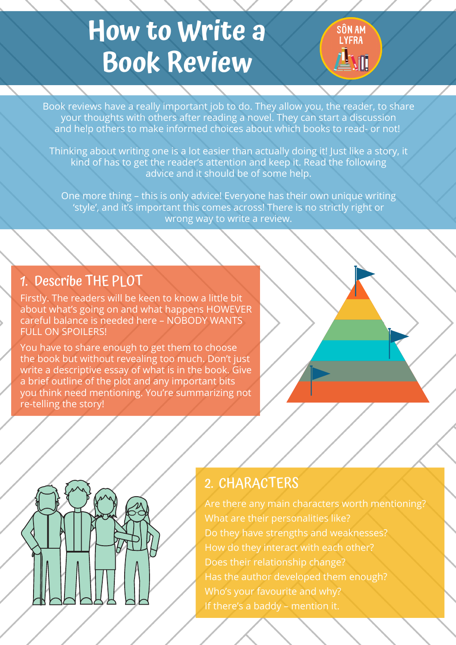Book reviews have a really important job to do. They allow you, the reader, to share your thoughts with others after reading a novel. They can start a discussion and help others to make informed choices about which books to read- or not!

Firstly. The readers will be keen to know a little bit about what's going on and what happens HOWEVER careful balance is needed here – NOBODY WANTS FULL ON SPOILERS!

Thinking about writing one is a lot easier than actually doing it! Just like a story, it kind of has to get the reader's attention and keep it. Read the following advice and it should be of some help.

One more thing – this is only advice! Everyone has their own unique writing 'style' , and it's important this comes across! There is no strictly right or wrong way to write a review.

You have to share enough to get them to choose the book but without revealing too much. Don't just write a descriptive essay of what is in the book. Give a brief outline of the plot and any important bits you think need mentioning. You're summarizing not re-telling the story!



Are there any main characters worth mentioning? What are their personalities like? Do they have strengths and weaknesses? How do they interact with each other? Does their relationship change? Has the author developed them enough? Who's your favourite and why? If there's a baddy – mention it.

# **How to Write a Book Review**



#### 1. Describe THE PLOT

## 2. CHARACTERS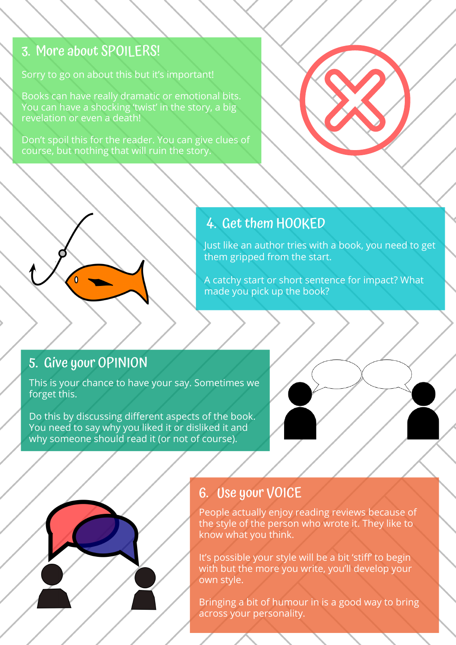Sorry to go on about this but it's important!

Books can have really dramatic or emotional bits. You can have a shocking 'twist' in the story, a big revelation or even a death!

Don't spoil this for the reader. You can give clues of course, but nothing that will ruin the story.

## 4. Get them HOOKED

## 3. More about SPOILERS!

Just like an author tries with a book, you need to get them gripped from the start.

A catchy start or short sentence for impact? What made you pick up the book?

People actually enjoy reading reviews because of the style of the person who wrote it. They like to know what you think.

It's possible your style will be a bit 'stiff' to begin with but the more you write, you'll develop your own style.

Bringing a bit of humour in is a good way to bring across your personality.

## 6. Use your VOICE

This is your chance to have your say. Sometimes we forget this.

Do this by discussing different aspects of the book. You need to say why you liked it or disliked it and why someone should read it (or not of course).

## 5. Give your OPINION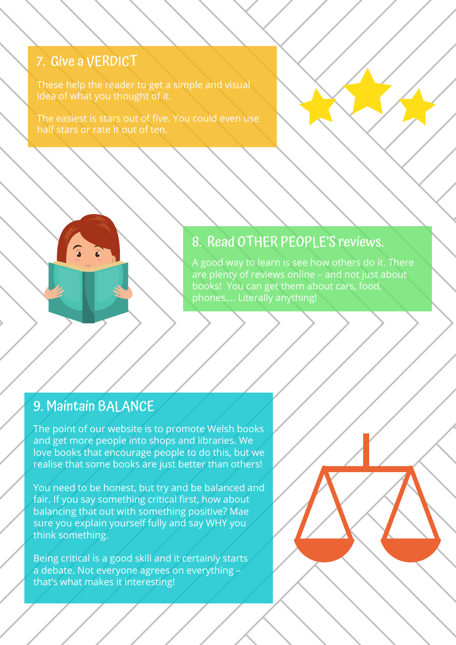The point of our website is to promote Welsh books and get more people into shops and libraries. We love books that encourage people to do this, but we realise that some books are just better than others!

You need to be honest, but try and be balanced and fair. If you say something critical first, how about balancing that out with something positive? Mae sure you explain yourself fully and say WHY you think something.

Being critical is a good skill and it certainly starts a debate. Not everyone agrees on everything – that's what makes it interesting!

These help the reader to get a simple and visual idea of what you thought of it.

The easiest is stars out of five. You could even use half stars or rate it out of ten.

## 7. Give a VERDICT

A good way to learn is see how others do it. There are plenty of reviews online – and not just about books! You can get them about cars, food, phones…. Literally anything!

## 8. Read OTHER PEOPLE'S reviews.

## 9. Maintain BALANCE